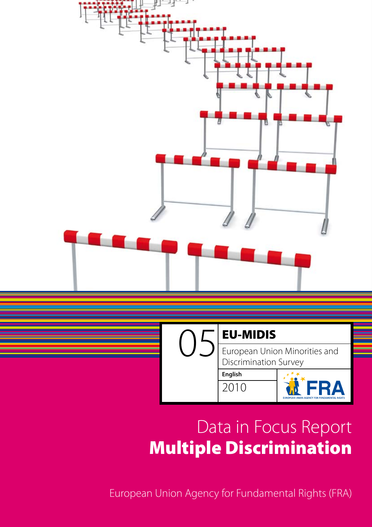



# European Union Minorities and Discrimination Survey

**English** 2010



# Data in Focus Report Multiple Discrimination

European Union Agency for Fundamental Rights (FRA)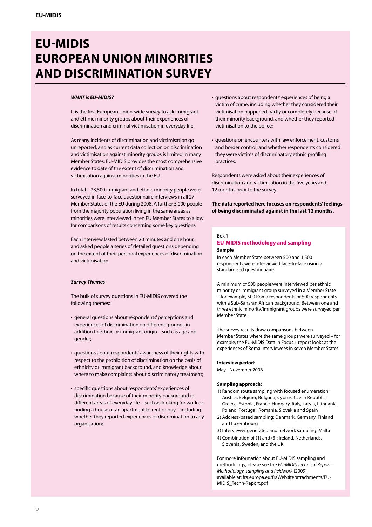# **EU-MIDIS European Union Minorities and Discrimination Survey**

#### *WHAT is EU-MIDIS?*

It is the first European Union-wide survey to ask immigrant and ethnic minority groups about their experiences of discrimination and criminal victimisation in everyday life.

As many incidents of discrimination and victimisation go unreported, and as current data collection on discrimination and victimisation against minority groups is limited in many Member States, EU-MIDIS provides the most comprehensive evidence to date of the extent of discrimination and victimisation against minorities in the EU.

In total – 23,500 immigrant and ethnic minority people were surveyed in face-to-face questionnaire interviews in all 27 Member States of the EU during 2008. A further 5,000 people from the majority population living in the same areas as minorities were interviewed in ten EU Member States to allow for comparisons of results concerning some key questions.

Each interview lasted between 20 minutes and one hour, and asked people a series of detailed questions depending on the extent of their personal experiences of discrimination and victimisation.

#### *Survey Themes*

The bulk of survey questions in EU-MIDIS covered the following themes:

- general questions about respondents' perceptions and experiences of discrimination on different grounds in addition to ethnic or immigrant origin – such as age and gender;
- questions about respondents' awareness of their rights with respect to the prohibition of discrimination on the basis of ethnicity or immigrant background, and knowledge about where to make complaints about discriminatory treatment;
- specific questions about respondents' experiences of discrimination because of their minority background in different areas of everyday life – such as looking for work or finding a house or an apartment to rent or buy – including whether they reported experiences of discrimination to any organisation;
- questions about respondents' experiences of being a victim of crime, including whether they considered their victimisation happened partly or completely because of their minority background, and whether they reported victimisation to the police;
- questions on encounters with law enforcement, customs and border control, and whether respondents considered they were victims of discriminatory ethnic profiling practices.

Respondents were asked about their experiences of discrimination and victimisation in the five years and 12 months prior to the survey.

**The data reported here focuses on respondents' feelings of being discriminated against in the last 12 months.**

# Box 1

#### **EU-MIDIS methodology and sampling Sample**

In each Member State between 500 and 1,500 respondents were interviewed face-to-face using a standardised questionnaire.

A minimum of 500 people were interviewed per ethnic minority or immigrant group surveyed in a Member State – for example, 500 Roma respondents or 500 respondents with a Sub-Saharan African background. Between one and three ethnic minority/immigrant groups were surveyed per Member State.

The survey results draw comparisons between Member States where the same groups were surveyed – for example, the EU-MIDIS Data in Focus 1 report looks at the experiences of Roma interviewees in seven Member States.

#### **Interview period:**

May - November 2008

#### **Sampling approach:**

- 1) Random route sampling with focused enumeration: Austria, Belgium, Bulgaria, Cyprus, Czech Republic, Greece, Estonia, France, Hungary, Italy, Latvia, Lithuania, Poland, Portugal, Romania, Slovakia and Spain
- 2) Address-based sampling: Denmark, Germany, Finland and Luxembourg
- 3) Interviewer generated and network sampling: Malta
- 4) Combination of (1) and (3): Ireland, Netherlands, Slovenia, Sweden, and the UK

For more information about EU-MIDIS sampling and methodology, please see the *EU-MIDIS Technical Report: Methodology, sampling and fieldwork* (2009), available at: fra.europa.eu/fraWebsite/attachments/EU-MIDIS\_Techn-Report.pdf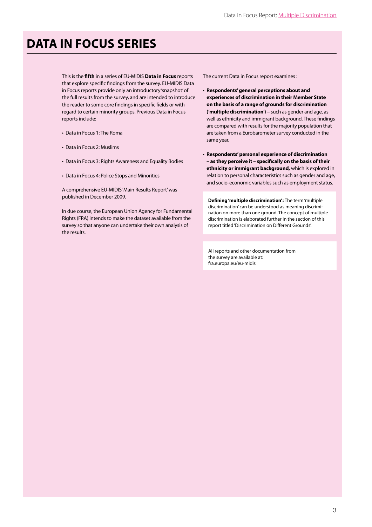# **Data in Focus Series**

This is the **fifth** in a series of EU-MIDIS **Data in Focus** reports that explore specific findings from the survey. EU-MIDIS Data in Focus reports provide only an introductory 'snapshot' of the full results from the survey, and are intended to introduce the reader to some core findings in specific fields or with regard to certain minority groups. Previous Data in Focus reports include:

- Data in Focus 1: The Roma
- Data in Focus 2: Muslims
- Data in Focus 3: Rights Awareness and Equality Bodies
- Data in Focus 4: Police Stops and Minorities

A comprehensive EU-MIDIS'Main Results Report'was published in December 2009.

In due course, the European Union Agency for Fundamental Rights (FRA) intends to make the dataset available from the survey so that anyone can undertake their own analysis of the results.

The current Data in Focus report examines :

- **Respondents' general perceptions about and experiences of discrimination in their Member State on the basis of a range of grounds for discrimination ('multiple discrimination'**) – such as gender and age, as well as ethnicity and immigrant background. These findings are compared with results for the majority population that are taken from a Eurobarometer survey conducted in the same year.
- **Respondents' personal experience of discrimination – as they perceive it – specifically on the basis of their ethnicity or immigrant background,** which is explored in relation to personal characteristics such as gender and age, and socio-economic variables such as employment status.

**Defining 'multiple discrimination':** The term 'multiple discrimination' can be understood as meaning discrimination on more than one ground. The concept of multiple discrimination is elaborated further in the section of this report titled'Discrimination on Different Grounds'.

All reports and other documentation from the survey are available at: fra.europa.eu/eu-midis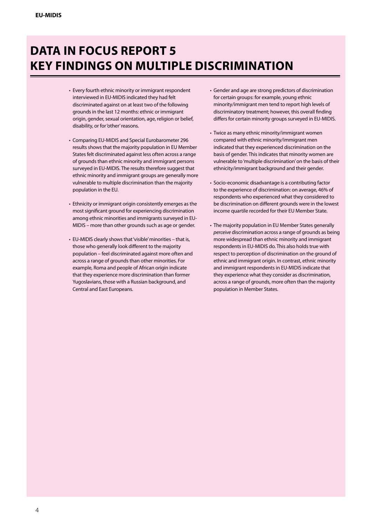# **Data in Focus Report 5 Key Findings on Multiple Discrimination**

- Every fourth ethnic minority or immigrant respondent interviewed in EU-MIDIS indicated they had felt discriminated against on at least two of the following grounds in the last 12 months: ethnic or immigrant origin, gender, sexual orientation, age, religion or belief, disability, or for'other'reasons.
- Comparing EU-MIDIS and Special Eurobarometer 296 results shows that the majority population in EU Member States felt discriminated against less often across a range of grounds than ethnic minority and immigrant persons surveyed in EU-MIDIS. The results therefore suggest that ethnic minority and immigrant groups are generally more vulnerable to multiple discrimination than the majority population in the EU.
- Ethnicity or immigrant origin consistently emerges as the most significant ground for experiencing discrimination among ethnic minorities and immigrants surveyed in EU-MIDIS – more than other grounds such as age or gender.
- EU-MIDIS clearly shows that 'visible' minorities that is, those who generally look different to the majority population – feel discriminated against more often and across a range of grounds than other minorities. For example, Roma and people of African origin indicate that they experience more discrimination than former Yugoslavians, those with a Russian background, and Central and East Europeans.
- • Gender and age are strong predictors of discrimination for certain groups: for example, young ethnic minority/immigrant men tend to report high levels of discriminatory treatment; however, this overall finding differs for certain minority groups surveyed in EU-MIDIS.
- Twice as many ethnic minority/immigrant women compared with ethnic minority/immigrant men indicated that they experienced discrimination on the basis of gender. This indicates that minority women are vulnerable to'multiple discrimination'on the basis of their ethnicity/immigrant background and their gender.
- Socio-economic disadvantage is a contributing factor to the experience of discrimination: on average, 46% of respondents who experienced what they considered to be discrimination on different grounds were in the lowest income quartile recorded for their EU Member State.
- The majority population in EU Member States generally *perceive* discrimination across a range of grounds as being more widespread than ethnic minority and immigrant respondents in EU-MIDIS do. This also holds true with respect to perception of discrimination on the ground of ethnic and immigrant origin. In contrast, ethnic minority and immigrant respondents in EU-MIDIS indicate that they experience what they consider as discrimination, across a range of grounds, more often than the majority population in Member States.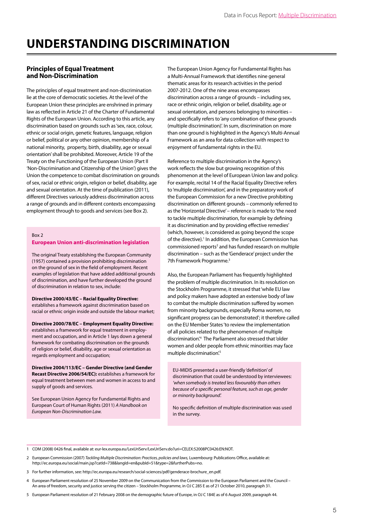# **Understanding Discrimination**

# **Principles of Equal Treatment and Non-Discrimination**

The principles of equal treatment and non-discrimination lie at the core of democratic societies. At the level of the European Union these principles are enshrined in primary law as reflected in Article 21 of the Charter of Fundamental Rights of the European Union. According to this article, any discrimination based on grounds such as 'sex, race, colour, ethnic or social origin, genetic features, language, religion or belief, political or any other opinion, membership of a national minority, property, birth, disability, age or sexual orientation'shall be prohibited. Moreover, Article 19 of the Treaty on the Functioning of the European Union (Part II 'Non-Discrimination and Citizenship of the Union') gives the Union the competence to combat discrimination on grounds of sex, racial or ethnic origin, religion or belief, disability, age and sexual orientation. At the time of publication (2011), different Directives variously address discrimination across a range of grounds and in different contexts encompassing employment through to goods and services (see Box 2).

# Box 2

#### **European Union anti-discrimination legislation**

The original Treaty establishing the European Community (1957) contained a provision prohibiting discrimination on the ground of sex in the field of employment. Recent examples of legislation that have added additional grounds of discrimination, and have further developed the ground of discrimination in relation to sex, include:

**Directive 2000/43/EC – Racial Equality Directive:** establishes a framework against discrimination based on racial or ethnic origin inside and outside the labour market;

**Directive 2000/78/EC – Employment Equality Directive:**  establishes a framework for equal treatment in employment and occupation, and in Article 1 lays down a general framework for combating discrimination on the grounds of religion or belief, disability, age or sexual orientation as regards employment and occupation;

**Directive 2004/113/EC – Gender Directive (and Gender Recast Directive 2006/54/EC):** establishes a framework for equal treatment between men and women in access to and supply of goods and services.

See European Union Agency for Fundamental Rights and European Court of Human Rights (2011) *A Handbook on European Non-Discrimination Law.*

The European Union Agency for Fundamental Rights has a Multi-Annual Framework that identifies nine general thematic areas for its research activities in the period 2007-2012. One of the nine areas encompasses discrimination across a range of grounds – including sex, race or ethnic origin, religion or belief, disability, age or sexual orientation, and persons belonging to minorities – and specifically refers to 'any combination of these grounds (multiple discrimination)'. In sum, discrimination on more than one ground is highlighted in the Agency's Multi-Annual Framework as an area for data collection with respect to enjoyment of fundamental rights in the EU.

Reference to multiple discrimination in the Agency's work reflects the slow but growing recognition of this phenomenon at the level of European Union law and policy. For example, recital 14 of the Racial Equality Directive refers to'multiple discrimination', and in the preparatory work of the European Commission for a new Directive prohibiting discrimination on different grounds – commonly referred to asthe'Horizontal Directive'– reference is made to'the need to tackle multiple discrimination, for example by defining it as discrimination and by providing effective remedies' (which, however, is considered as going beyond the scope of the directive).<sup>1</sup> In addition, the European Commission has commissioned reports<sup>2</sup> and has funded research on multiple discrimination – such as the 'Genderace' project under the 7th Framework Programme.<sup>3</sup>

Also, the European Parliament has frequently highlighted the problem of multiple discrimination. In its resolution on the Stockholm Programme, it stressed that 'while EU law and policy makers have adopted an extensive body of law to combat the multiple discrimination suffered by women from minority backgrounds, especially Roma women, no significant progress can be demonstrated'; it therefore called on the EU Member States 'to review the implementation of all policies related to the phenomenon of multiple discrimination'.<sup>4</sup> The Parliament also stressed that 'older women and older people from ethnic minorities may face multiple discrimination.<sup>5</sup>

EU-MIDIS presented a user-friendly 'definition'of discrimination that could be understood by interviewees: *'when somebody is treated less favourably than others because of a specific personal feature, such as age, gender or minority background'.* 

No specific definition of multiple discrimination was used in the survey.

- 3 For further information, see: http://ec.europa.eu/research/social-sciences/pdf/genderace-brochure\_en.pdf.
- 4 European Parliament resolution of 25 November 2009 on the Communication from the Commission to the European Parliament and the Council An area of freedom, security and justice serving the citizen – Stockholm Programme, in OJ C 285 E as of 21 October 2010, paragraph 31.
- 5 European Parliament resolution of 21 February 2008 on the demographic future of Europe, in OJ C 184E as of 6 August 2009, paragraph 44.

<sup>1</sup> COM (2008) 0426 final, available at: eur-lex.europa.eu/LexUriServ/LexUriServ.do?uri=CELEX:52008PC0426:EN:NOT.

<sup>2</sup> European Commission (2007) *Tackling Multiple Discrimination: Practices, policies and laws,* Luxembourg: Publications Office, available at: http://ec.europa.eu/social/main.jsp?catId=738&langId=en&pubId=51&type=2&furtherPubs=no.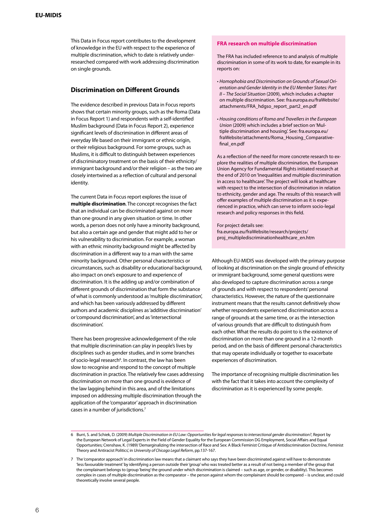#### **EU-MIDIS**

This Data in Focus report contributes to the development of knowledge in the EU with respect to the experience of multiple discrimination, which to date is relatively underresearched compared with work addressing discrimination on single grounds.

# **Discrimination on Different Grounds**

The evidence described in previous Data in Focus reports shows that certain minority groups, such as the Roma (Data in Focus Report 1) and respondents with a self-identified Muslim background (Data in Focus Report 2), experience significant levels of discrimination in different areas of everyday life based on their immigrant or ethnic origin, or their religious background. For some groups, such as Muslims, it is difficult to distinguish between experiences of discriminatory treatment on the basis of their ethnicity/ immigrant background and/or their religion – as the two are closely intertwined as a reflection of cultural and personal identity.

The current Data in Focus report explores the issue of **multiple discrimination**. The concept recognises the fact that an individual can be discriminated against on more than one ground in any given situation or time. In other words, a person does not only have a minority background, but also a certain age and gender that might add to her or his vulnerability to discrimination. For example, a woman with an ethnic minority background might be affected by discrimination in a different way to a man with the same minority background. Other personal characteristics or circumstances, such as disability or educational background, also impact on one's exposure to and experience of discrimination. It is the adding up and/or combination of different grounds of discrimination that form the substance of what is commonly understood as'multiple discrimination', and which has been variously addressed by different authors and academic disciplines as'additive discrimination' or'compound discrimination', and as'intersectional discrimination'.

There has been progressive acknowledgement of the role that multiple discrimination can play in people's lives by disciplines such as gender studies, and in some branches of socio-legal research<sup>6</sup>. In contrast, the law has been slow to recognise and respond to the concept of multiple discrimination in practice. The relatively few cases addressing discrimination on more than one ground is evidence of the law lagging behind in this area, and of the limitations imposed on addressing multiple discrimination through the application of the'comparator'approach in discrimination cases in a number of jurisdictions.<sup>7</sup>

## **FRA research on multiple discrimination**

The FRA has included reference to and analysis of multiple discrimination in some of its work to date, for example in its reports on:

- *Homophobia and Discrimination on Grounds of Sexual Orientation and Gender Identity in the EU Member States: Part II – The Social Situation* (2009), which includes a chapter on multiple discrimination. See: fra.europa.eu/fraWebsite/ attachments/FRA\_hdgso\_report\_part2\_en.pdf
- *Housing conditions of Roma and Travellers in the European Union* (2009) which includes a brief section on 'Multiple discrimination and housing'. See: fra.europa.eu/ fraWebsite/attachments/Roma\_Housing\_Comparativefinal\_en.pdf

As a reflection of the need for more concrete research to explore the realities of multiple discrimination, the European Union Agency for Fundamental Rights initiated research at the end of 2010 on 'Inequalities and multiple discrimination in access to healthcare'. The project will look at healthcare with respect to the intersection of discrimination in relation to ethnicity, gender and age. The results of this research will offer examples of multiple discrimination as it is experienced in practice, which can serve to inform socio-legal research and policy responses in this field.

For project details see: fra.europa.eu/fraWebsite/research/projects/ proj\_multiplediscriminationhealthcare\_en.htm

Although EU-MIDIS was developed with the primary purpose of looking at discrimination on the single ground of ethnicity or immigrant background, some general questions were also developed to capture discrimination across a range of grounds and with respect to respondents'personal characteristics. However, the nature of the questionnaire instrument means that the results cannot definitively show whether respondents experienced discrimination across a range of grounds at the same time, or as the intersection of various grounds that are difficult to distinguish from each other. What the results do point to is the existence of discrimination on more than one ground in a 12-month period, and on the basis of different personal characteristics that may operate individually or together to exacerbate experiences of discrimination.

The importance of recognising multiple discrimination lies with the fact that it takes into account the complexity of discrimination as it is experienced by some people.

<sup>6</sup> Burri, S. and Schiek, D. (2009) *Multiple Discrimination in EU Law: Opportunities for legal responses to intersectional gender discrimination?*, Report by the European Network of Legal Experts in the Field of Gender Equality for the European Commission DG Employment, Social Affairs and Equal Opportunities; Crenshaw, K. (1989) 'Demarginalizing the intersection of Race and Sex: A Black Feminist Critique of Antidiscrimination Doctrine, Feminist Theory and Antiracist Politics', in *University of Chicago Legal Reform*, pp.137-167.

<sup>7</sup> The'comparator approach'in discrimination law meansthat a claimant who saysthey have been discriminated against will have to demonstrate 'lessfavourable treatment'by identifying a person outside their'group'who wastreated better as a result of not being a member of the group that the complainant belongsto (group'being'the ground under which discrimination is claimed – such as age, or gender, or disability). This becomes complex in cases of multiple discrimination as the comparator – the person against whom the complainant should be compared – is unclear, and could theoretically involve several people.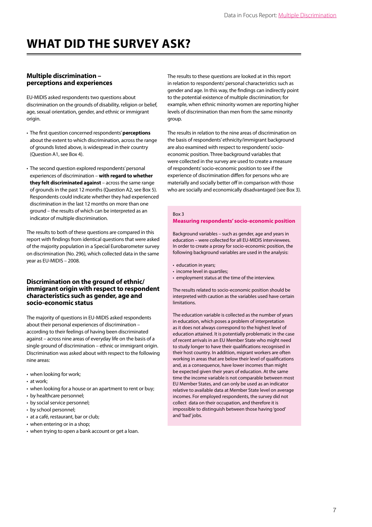# **WHAT DID THE SURVEY ASK?**

# **Multiple discrimination – perceptions and experiences**

EU-MIDIS asked respondents two questions about discrimination on the grounds of disability, religion or belief, age, sexual orientation, gender, and ethnic or immigrant origin.

- The first question concerned respondents'**perceptions** about the extent to which discrimination, across the range of grounds listed above, is widespread in their country (Question A1, see Box 4).
- The second question explored respondents'personal experiences of discrimination – **with regard to whether they felt discriminated against** – across the same range of grounds in the past 12 months (Question A2, see Box 5). Respondents could indicate whether they had experienced discrimination in the last 12 months on more than one ground – the results of which can be interpreted as an indicator of multiple discrimination.

The results to both of these questions are compared in this report with findings from identical questions that were asked of the majority population in a Special Eurobarometer survey on discrimination (No. 296), which collected data in the same year as EU-MIDIS – 2008.

# **Discrimination on the ground of ethnic/ immigrant origin with respect to respondent characteristics such as gender, age and socio-economic status**

The majority of questions in EU-MIDIS asked respondents about their personal experiences of discrimination – according to their feelings of having been discriminated against – across nine areas of everyday life on the basis of a single ground of discrimination – ethnic or immigrant origin. Discrimination was asked about with respect to the following nine areas:

- when looking for work;
- at work;
- when looking for a house or an apartment to rent or buy;
- by healthcare personnel;
- by social service personnel;
- by school personnel;
- at a café, restaurant, bar or club;
- when entering or in a shop;
- when trying to open a bank account or get a loan.

The results to these questions are looked at in this report in relation to respondents' personal characteristics such as gender and age. In this way, the findings can indirectly point to the potential existence of multiple discrimination; for example, when ethnic minority women are reporting higher levels of discrimination than men from the same minority group.

The results in relation to the nine areas of discrimination on the basis of respondents'ethnicity/immigrant background are also examined with respect to respondents' socioeconomic position. Three background variables that were collected in the survey are used to create a measure of respondents'socio-economic position to see if the experience of discrimination differs for persons who are materially and socially better off in comparison with those who are socially and economically disadvantaged (see Box 3).

### Box 3

## **Measuring respondents' socio-economic position**

Background variables – such as gender, age and years in education – were collected for all EU-MIDIS interviewees. In order to create a proxy for socio-economic position, the following background variables are used in the analysis:

- education in years;
- income level in quartiles;
- employment status at the time of the interview.

The results related to socio-economic position should be interpreted with caution as the variables used have certain limitations.

The education variable is collected as the number of years in education, which poses a problem of interpretation as it does not always correspond to the highest level of education attained. It is potentially problematic in the case of recent arrivals in an EU Member State who might need to study longer to have their qualifications recognised in their host country. In addition, migrant workers are often working in areas that are below their level of qualifications and, as a consequence, have lower incomes than might be expected given their years of education. At the same time the income variable is not comparable between most EU Member States, and can only be used as an indicator relative to available data at Member State level on average incomes. For employed respondents, the survey did not collect data on their occupation, and therefore it is impossible to distinguish between those having'good' and'bad' jobs.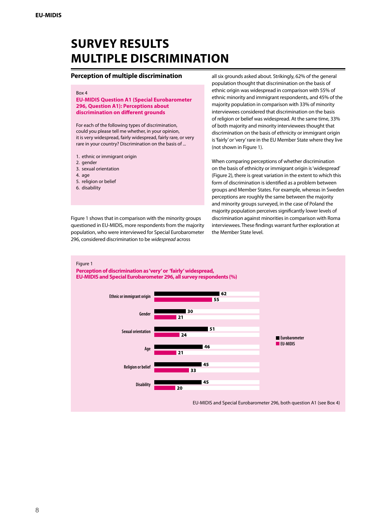# **Survey Results Multiple Discrimination**

# **Perception of multiple discrimination**

#### Box 4

#### **EU-MIDIS Question A1 (Special Eurobarometer 296, Question A1): Perceptions about discrimination on different grounds**

For each of the following types of discrimination, could you please tell me whether, in your opinion, it is very widespread, fairly widespread, fairly rare, or very rare in your country? Discrimination on the basis of ...

- 1. ethnic or immigrant origin
- 2. gender
- 3. sexual orientation
- 4. age
- 5. religion or belief
- 6. disability

Figure 1 shows that in comparison with the minority groups questioned in EU-MIDIS, more respondents from the majority population, who were interviewed for Special Eurobarometer 296, considered discrimination to be *widespread* across

all six grounds asked about. Strikingly, 62% of the general population thought that discrimination on the basis of ethnic origin was widespread in comparison with 55% of ethnic minority and immigrant respondents, and 45% of the majority population in comparison with 33% of minority interviewees considered that discrimination on the basis of religion or belief was widespread. At the same time, 33% of both majority and minority interviewees thought that discrimination on the basis of ethnicity or immigrant origin is'fairly'or'very'rare in the EU Member State where they live (not shown in Figure 1).

When comparing perceptions of whether discrimination on the basis of ethnicity or immigrant origin is'widespread' (Figure 2), there is great variation in the extent to which this form of discrimination is identified as a problem between groups and Member States. For example, whereas in Sweden perceptions are roughly the same between the majority and minority groups surveyed, in the case of Poland the majority population perceives significantly lower levels of discrimination against minorities in comparison with Roma interviewees. These findings warrant further exploration at the Member State level.





#### EU-MIDIS and Special Eurobarometer 296, both question A1 (see Box 4)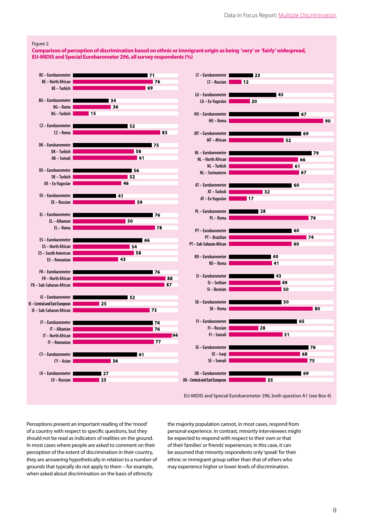$145$ 

52

67

69

66 61

67

l 60

**60** 

60

 $\overline{32}$ 

40

41

43

49

50

**50** 

**151** 

■ 79

**176** 

 $|74$ 

l RO

**176** 68

 $175$ 

69

 $165$ 

90

#### Figure 2

**Comparison of perception of discrimination based on ethnic or immigrant origin as being 'very' or 'fairly' widespread, EU-MIDIS and Special Eurobarometer 296, all survey respondents (%)**



EU-MIDIS and Special Eurobarometer 296, both question A1 (see Box 4)

 $135$ 

Perceptions present an important reading of the'mood' of a country with respect to specific questions, but they should not be read as indicators of realities on the ground. In most cases where people are asked to comment on their perception of the extent of discrimination in their country, they are answering hypothetically in relation to a number of grounds that typically do not apply to them – for example, when asked about discrimination on the basis of ethnicity

the majority population cannot, in most cases, respond from personal experience. In contrast, minority interviewees might be expected to respond with respect to their own or that of their families'or friends'experiences; in this case, it can be assumed that minority respondents only'speak'for their ethnic or immigrant group rather than that of others who may experience higher or lower levels of discrimination.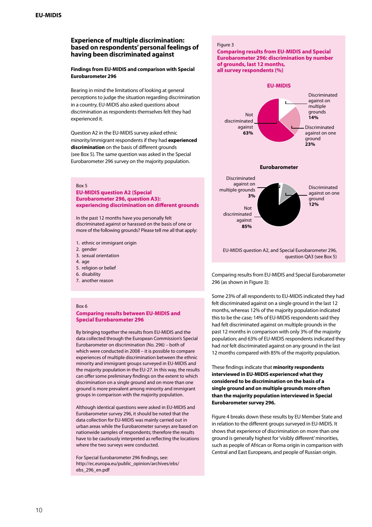# **Experience of multiple discrimination: based on respondents' personal feelings of having been discriminated against**

### **Findings from EU-MIDIS and comparison with Special Eurobarometer 296**

Bearing in mind the limitations of looking at general perceptions to judge the situation regarding discrimination in a country, EU-MIDIS also asked questions about discrimination as respondents themselves felt they had experienced it.

Question A2 in the EU-MIDIS survey asked ethnic minority/immigrant respondents if they had **experienced discrimination** on the basis of different grounds (see Box 5). The same question was asked in the Special Eurobarometer 296 survey on the majority population.

#### Box 5

### **EU-MIDIS question A2 (Special Eurobarometer 296, question A3): experiencing discrimination on different grounds**

In the past 12 months have you personally felt discriminated against or harassed on the basis of one or more of the following grounds? Please tell me all that apply:

- 1. ethnic or immigrant origin
- 2. gender
- 3. sexual orientation
- 4. age
- 5. religion or belief
- 6. disability
- 7. another reason

#### Box 6

## **Comparing results between EU-MIDIS and Special Eurobarometer 296**

By bringing together the results from EU-MIDIS and the data collected through the European Commission's Special Eurobarometer on discrimination (No. 296) – both of which were conducted in 2008 – it is possible to compare experiences of multiple discrimination between the ethnic minority and immigrant groups surveyed in EU-MIDIS and the majority population in the EU-27. In this way, the results can offer some preliminary findings on the extent to which discrimination on a single ground and on more than one ground is more prevalent among minority and immigrant groups in comparison with the majority population.

Although identical questions were asked in EU-MIDIS and Eurobarometer survey 296, it should be noted that the data collection for EU-MIDIS was mainly carried out in urban areas while the Eurobarometer surveys are based on nationwide samples of respondents; therefore the results have to be cautiously interpreted as reflecting the locations where the two surveys were conducted.

For Special Eurobarometer 296 findings, see: http://ec.europa.eu/public\_opinion/archives/ebs/ ebs\_296\_en.pdf

### Figure 3

#### **Comparing results from EU-MIDIS and Special Eurobarometer 296: discrimination by number of grounds, last 12 months, all survey respondents (%)**



Comparing results from EU-MIDIS and Special Eurobarometer 296 (as shown in Figure 3):

Some 23% of all respondents to EU-MIDIS indicated they had felt discriminated against on a single ground in the last 12 months, whereas 12% of the majority population indicated this to be the case; 14% of EU-MIDIS respondents said they had felt discriminated against on multiple grounds in the past 12 months in comparison with only 3% of the majority population; and 63% of EU-MIDIS respondents indicated they had *not* felt discriminated against on any ground in the last 12 months compared with 85% of the majority population.

These findings indicate that **minority respondents interviewed in EU-MIDIS experienced what they considered to be discrimination on the basis of a single ground and on multiple grounds more often than the majority population interviewed in Special Eurobarometer survey 296.** 

Figure 4 breaks down these results by EU Member State and in relation to the different groups surveyed in EU-MIDIS. It shows that experience of discrimination on more than one ground is generally highest for'visibly different'minorities, such as people of African or Roma origin in comparison with Central and East Europeans, and people of Russian origin.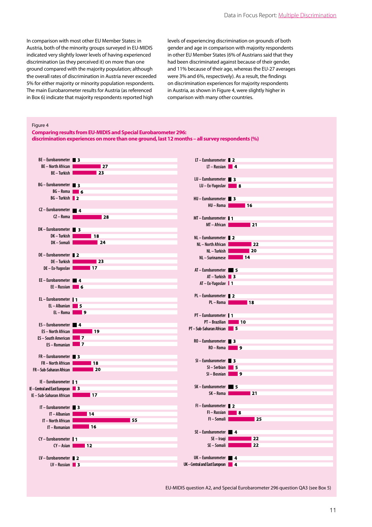In comparison with most other EU Member States: in Austria, both of the minority groups surveyed in EU-MIDIS indicated very slightly lower levels of having experienced discrimination (as they perceived it) on more than one ground compared with the majority population; although the overall rates of discrimination in Austria never exceeded 5% for either majority or minority population respondents. The main Eurobarometer results for Austria (as referenced in Box 6) indicate that majority respondents reported high

levels of experiencing discrimination on grounds of both gender and age in comparison with majority respondents in other EU Member States (6% of Austrians said that they had been discriminated against because of their gender, and 11% because of their age, whereas the EU-27 averages were 3% and 6%, respectively). As a result, the findings on discrimination experiences for majority respondents in Austria, as shown in Figure 4, were slightly higher in comparison with many other countries.

#### Figure 4

**Comparing results from EU-MIDIS and Special Eurobarometer 296: discrimination experiences on more than one ground, last 12 months – all survey respondents (%)**



EU-MIDIS question A2, and Special Eurobarometer 296 question QA3 (see Box 5)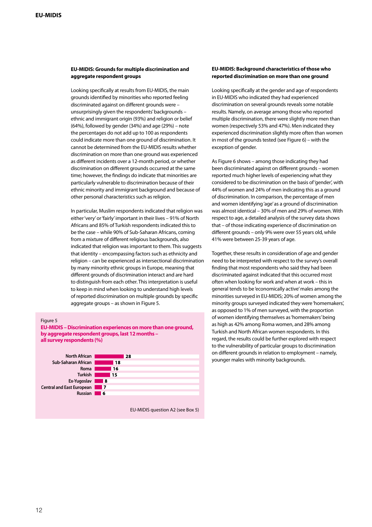# **EU-MIDIS: Grounds for multiple discrimination and aggregate respondent groups**

Looking specifically at results from EU-MIDIS, the main grounds identified by minorities who reported feeling discriminated against on different grounds were – unsurprisingly given the respondents'backgrounds – ethnic and immigrant origin (93%) and religion or belief (64%), followed by gender (34%) and age (29%) – note the percentages do not add up to 100 as respondents could indicate more than one ground of discrimination. It cannot be determined from the EU-MIDIS results whether discrimination on more than one ground was experienced as different incidents over a 12-month period, or whether discrimination on different grounds occurred at the same time; however, the findings do indicate that minorities are particularly vulnerable to discrimination because of their ethnic minority and immigrant background and because of other personal characteristics such as religion.

In particular, Muslim respondents indicated that religion was either'very'or'fairly'important in their lives – 91% of North Africans and 85% of Turkish respondentsindicated thisto be the case – while 90% of Sub-Saharan Africans, coming from a mixture of different religious backgrounds, also indicated that religion was important to them. This suggests that identity – encompassing factors such as ethnicity and religion – can be experienced as intersectional discrimination by many minority ethnic groups in Europe, meaning that different grounds of discrimination interact and are hard to distinguish from each other. This interpretation is useful to keep in mind when looking to understand high levels of reported discrimination on multiple grounds by specific aggregate groups – as shown in Figure 5.

### Figure 5

**EU-MIDIS – Discrimination experiences on more than one ground, by aggregate respondent groups, last 12 months – all survey respondents (%)**



EU-MIDIS question A2 (see Box 5)

## **EU-MIDIS: Background characteristics of those who reported discrimination on more than one ground**

Looking specifically at the gender and age of respondents in EU-MIDIS who indicated they had experienced discrimination on several grounds reveals some notable results. Namely, on average among those who reported multiple discrimination, there were slightly more men than women (respectively 53% and 47%). Men indicated they experienced discrimination slightly more often than women in most of the grounds tested (see Figure  $6$ ) – with the exception of gender.

As Figure 6 shows – among those indicating they had been discriminated against on different grounds – women reported much higher levels of experiencing what they considered to be discrimination on the basis of'gender', with 44% of women and 24% of men indicating this as a ground of discrimination. In comparison, the percentage of men and women identifying'age'as a ground of discrimination was almost identical – 30% of men and 29% of women. With respect to age, a detailed analysis of the survey data shows that – of those indicating experience of discrimination on different grounds – only 9% were over 55 years old, while 41% were between 25-39 years of age.

Together, these results in consideration of age and gender need to be interpreted with respect to the survey's overall finding that most respondents who said they had been discriminated against indicated that this occurred most often when looking for work and when at work – this in general tends to be 'economically active' males among the minorities surveyed in EU-MIDIS; 20% of women among the minority groups surveyed indicated they were 'homemakers', as opposed to 1% of men surveyed, with the proportion of women identifying themselves as'homemakers'being as high as 42% among Roma women, and 28% among Turkish and North African women respondents. In this regard, the results could be further explored with respect to the vulnerability of particular groups to discrimination on different grounds in relation to employment – namely, younger males with minority backgrounds.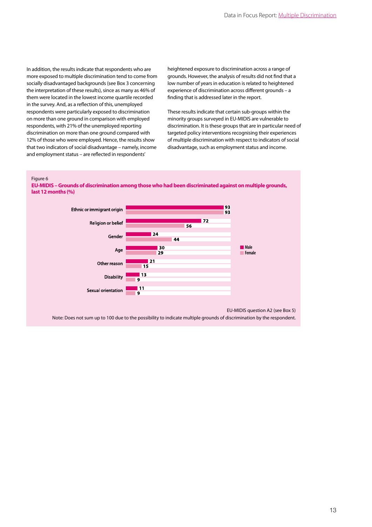In addition, the results indicate that respondents who are more exposed to multiple discrimination tend to come from socially disadvantaged backgrounds (see Box 3 concerning the interpretation of these results), since as many as 46% of them were located in the lowest income quartile recorded in the survey. And, as a reflection of this, unemployed respondents were particularly exposed to discrimination on more than one ground in comparison with employed respondents, with 21% of the unemployed reporting discrimination on more than one ground compared with 12% of those who were employed. Hence, the results show that two indicators of social disadvantage – namely, income **North African** and employment status – are reflected in respondents' al ulsauvalitay<del>e</del> – I

heightened exposure to discrimination across a range of grounds. However, the analysis of results did not find that a low number of years in education is related to heightened experience of discrimination across different grounds – a finding that is addressed later in the report.

These results indicate that certain sub-groups within the minority groups surveyed in EU-MIDIS are vulnerable to discrimination. It is these groups that are in particular need of targeted policy interventions recognising their experiences of multiple discrimination with respect to indicators of social disadvantage, such as employment status and income.

Figure 6

**EU-MIDIS – Grounds of discrimination among those who had been discriminated against on multiple grounds, Russian last 12 months (%)** 



EU-MIDIS question A2 (see Box 5)

Note: Does not sum up to 100 due to the possibility to indicate multiple grounds of discrimination by the respondent.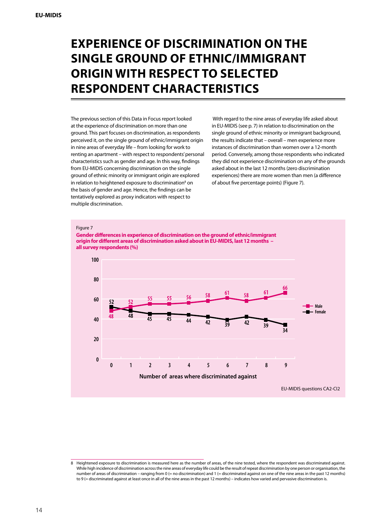# **Experience of discrimination on the single ground of ethnic/immigrant origin with respect to selected respondent characteristics**

The previous section of this Data in Focus report looked at the experience of discrimination on more than one ground. This part focuses on discrimination, as respondents perceived it, on the single ground of ethnic/immigrant origin in nine areas of everyday life – from looking for work to renting an apartment – with respect to respondents'personal characteristics such as gender and age. In this way, findings from EU-MIDIS concerning discrimination on the single ground of ethnic minority or immigrant origin are explored in relation to heightened exposure to discrimination<sup>8</sup> on the basis of gender and age. Hence, the findings can be tentatively explored as proxy indicators with respect to multiple discrimination.

 With regard to the nine areas of everyday life asked about in EU-MIDIS (see p. 7) in relation to discrimination on the single ground of ethnic minority or immigrant background, the results indicate that – overall – men experience more instances of discrimination than women over a 12-month period. Conversely, among those respondents who indicated they did not experience discrimination on any of the grounds asked about in the last 12 months (zero discrimination experiences) there are more women than men (a difference of about five percentage points) (Figure 7).



<sup>8</sup> Heightened exposure to discrimination is measured here as the number of areas, of the nine tested, where the respondent was discriminated against. While high incidence of discrimination across the nine areas of everyday life could be the result of repeat discrimination by one person or organisation, the number of areas of discrimination – ranging from 0 (= no discrimination) and 1 (= discriminated against on one of the nine areas in the past 12 months) to 9 (= discriminated against at least once in all of the nine areas in the past 12 months) – indicates how varied and pervasive discrimination is.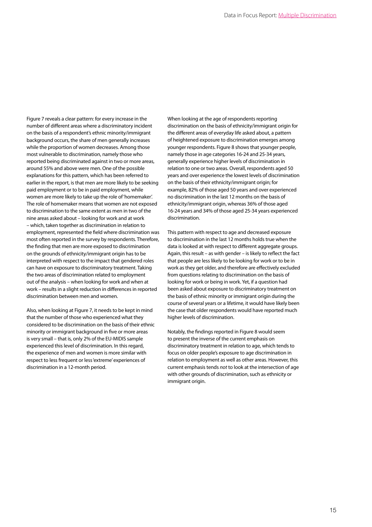Figure 7 reveals a clear pattern: for every increase in the number of different areas where a discriminatory incident on the basis of a respondent's ethnic minority/immigrant background occurs, the share of men generally increases while the proportion of women decreases. Among those most vulnerable to discrimination, namely those who reported being discriminated against in two or more areas, around 55% and above were men. One of the possible explanations for this pattern, which has been referred to earlier in the report, is that men are more likely to be seeking paid employment or to be in paid employment, while women are more likely to take up the role of'homemaker'. The role of homemaker means that women are not exposed to discrimination to the same extent as men in two of the nine areas asked about – looking for work and at work – which, taken together as discrimination in relation to employment, represented the field where discrimination was most often reported in the survey by respondents. Therefore, the finding that men are more exposed to discrimination on the grounds of ethnicity/immigrant origin has to be interpreted with respect to the impact that gendered roles can have on exposure to discriminatory treatment. Taking the two areas of discrimination related to employment out of the analysis – when looking for work and when at work – results in a slight reduction in differences in reported discrimination between men and women.

Also, when looking at Figure 7, it needs to be kept in mind that the number of those who experienced what they considered to be discrimination on the basis of their ethnic minority or immigrant background in five or more areas is very small – that is, only 2% of the EU-MIDIS sample experienced this level of discrimination. In this regard, the experience of men and women is more similar with respect to less frequent or less 'extreme' experiences of discrimination in a 12-month period.

When looking at the age of respondents reporting discrimination on the basis of ethnicity/immigrant origin for the different areas of everyday life asked about, a pattern of heightened exposure to discrimination emerges among younger respondents. Figure 8 shows that younger people, namely those in age categories 16-24 and 25-34 years, generally experience higher levels of discrimination in relation to one or two areas. Overall, respondents aged 50 years and over experience the lowest levels of discrimination on the basis of their ethnicity/immigrant origin; for example, 82% of those aged 50 years and over experienced no discrimination in the last 12 months on the basis of ethnicity/immigrant origin, whereas 36% of those aged 16-24 years and 34% of those aged 25-34 years experienced discrimination.

This pattern with respect to age and decreased exposure to discrimination in the last 12 months holds true when the data is looked at with respect to different aggregate groups. Again, this result – as with gender – is likely to reflect the fact that people are less likely to be looking for work or to be in work as they get older, and therefore are effectively excluded from questions relating to discrimination on the basis of looking for work or being in work. Yet, if a question had been asked about exposure to discriminatory treatment on the basis of ethnic minority or immigrant origin during the course of several years or a lifetime, it would have likely been the case that older respondents would have reported much higher levels of discrimination.

Notably, the findings reported in Figure 8 would seem to present the inverse of the current emphasis on discriminatory treatment in relation to age, which tends to focus on older people's exposure to age discrimination in relation to employment as well as other areas. However, this current emphasis tends *not* to look at the intersection of age with other grounds of discrimination, such as ethnicity or immigrant origin.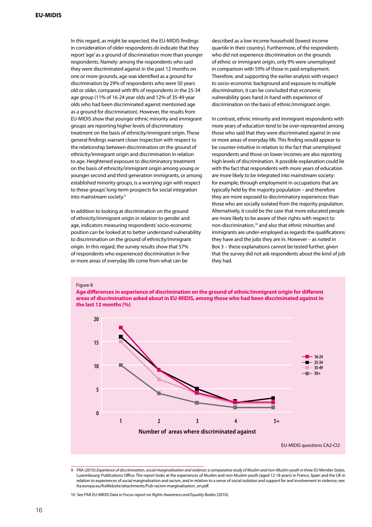In this regard, as might be expected, the EU-MIDIS findings in consideration of older respondents *do* indicate that they report'age'as a ground of discrimination more than younger respondents. Namely: among the respondents who said they were discriminated against in the past 12 months on one or more grounds, age was identified as a ground for discrimination by 29% of respondents who were 50 years old or older, compared with 8% of respondents in the 25-34 age group (11% of 16-24 year olds and 12% of 35-49 year olds who had been discriminated against mentioned age as a ground for discrimination). However, the results from **80** EU-MIDIS show that younger ethnic minority and immigrant groups are reporting higher levels of discriminatory **60** treatment on the basis of ethnicity/immigrant origin. These general findings warrant closer inspection with respect to the relationship between discrimination on the ground of **40** ethnicity/immigrant origin and discrimination in relation to age. Heightened exposure to discriminatory treatment on the basis of ethnicity/immigrant origin among young or **20** younger second and third generation immigrants, or among established minority groups, is a worrying sign with respect to these groups' long-term prospects for social integration into mainstream society.<sup>9</sup>

In addition to looking at discrimination on the ground of ethnicity/immigrant origin in relation to gender and age, indicators measuring respondents'socio-economic position can be looked at to better understand vulnerability to discrimination on the ground of ethnicity/immigrant origin. In this regard, the survey results show that 57% of respondents who experienced discrimination in five or more areas of everyday life come from what can be

described as a low income household (lowest income quartile in their country). Furthermore, of the respondents who did not experience discrimination on the grounds of ethnic or immigrant origin, only 9% were unemployed in comparison with 59% of those in paid employment. Therefore, and supporting the earlier analysis with respect to socio-economic background and exposure to multiple discrimination, it can be concluded that economic vulnerability goes hand in hand with experience of discrimination on the basis of ethnic/immigrant origin.

In contrast, ethnic minority and immigrant respondents with more years of education tend to be over-represented among those who said that they were discriminated against in one **Male** or more areas of everyday life. This finding would appear to **Female** be counter-intuitive in relation to the fact that unemployed respondents and those on lower incomes are also reporting high levels of discrimination. A possible explanation could lie with the fact that respondents with more years of education are more likely to be integrated into mainstream society: for example, through employment in occupations that are typically held by the majority population – and therefore prospects for social integration. They are more exposed to discriminatory experiences than they are more exposed to discriminatory experiences than those who are socially isolated from the majority population. Alternatively, it could be the case that more educated people are more likely to be aware of their rights with respect to non-discrimination,10 and also that ethnic minorities and immigrants are under-employed as regards the qualifications they have and the jobs they are in. However – as noted in Box 3 – these explanations cannot be tested further, given that the survey did not ask respondents about the kind of job they had.

### Figure 8

**Age differences in experience of discrimination on the ground of ethnic/immigrant origin for different areas of discrimination asked about in EU-MIDIS, among those who had been discriminated against in the last 12 months (%)**



<sup>9</sup> FRA (2010) *Experience of discrimination, social marginalisation and violence: a comparative study of Muslim and non-Muslim youth in three EU Member States*, Luxembourg: Publications Office. The report looks at the experiences of Muslim and non-Muslim youth (aged 12-18 years) in France, Spain and the UK in relation to experiences of social marginalisation and racism, and in relation to a sense of social isolation and support for and involvement in violence; see: fra.europa.eu/fraWebsite/attachments/Pub-racism-marginalisation\_en.pdf.

<sup>10</sup> See FRA EU-MIDIS Data in Focus report on *Rights Awareness and Equality Bodies* (2010).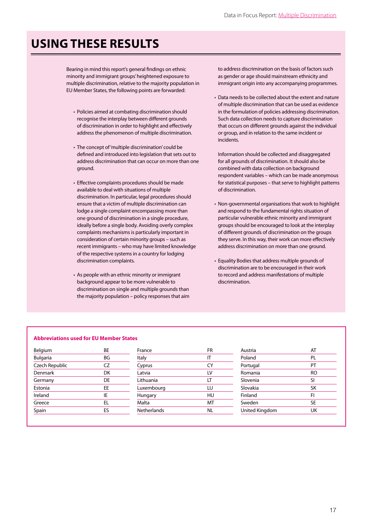# **Using these results**

Bearing in mind this report's general findings on ethnic minority and immigrant groups'heightened exposure to multiple discrimination, relative to the majority population in EU Member States, the following points are forwarded:

- Policies aimed at combating discrimination should recognise the interplay between different grounds of discrimination in order to highlight and effectively address the phenomenon of multiple discrimination.
- The concept of 'multiple discrimination' could be defined and introduced into legislation that sets out to address discrimination that can occur on more than one ground.
- Effective complaints procedures should be made available to deal with situations of multiple discrimination. In particular, legal procedures should ensure that a victim of multiple discrimination can lodge a single complaint encompassing more than one ground of discrimination in a single procedure, ideally before a single body. Avoiding overly complex complaints mechanisms is particularly important in consideration of certain minority groups – such as recent immigrants – who may have limited knowledge of the respective systems in a country for lodging discrimination complaints.
- As people with an ethnic minority or immigrant background appear to be more vulnerable to discrimination on single and multiple grounds than the majority population – policy responses that aim

to address discrimination on the basis of factors such as gender or age should mainstream ethnicity and immigrant origin into any accompanying programmes.

• Data needs to be collected about the extent and nature of multiple discrimination that can be used as evidence in the formulation of policies addressing discrimination. Such data collection needs to capture discrimination that occurs on different grounds against the individual or group, and in relation to the same incident or incidents.

Information should be collected and disaggregated for all grounds of discrimination. It should also be combined with data collection on background respondent variables – which can be made anonymous for statistical purposes – that serve to highlight patterns of discrimination.

- Non-governmental organisations that work to highlight and respond to the fundamental rights situation of particular vulnerable ethnic minority and immigrant groups should be encouraged to look at the interplay of different grounds of discrimination on the groups they serve. In this way, their work can more effectively address discrimination on more than one ground.
- Equality Bodies that address multiple grounds of discrimination are to be encouraged in their work to record and address manifestations of multiple discrimination.

# **Abbreviations used for EU Member States**

| Belgium        | ВE    |
|----------------|-------|
| Bulgaria       | ΒG    |
| Czech Republic | $C$ 7 |
| Denmark        | DK    |
| Germany        | DE    |
| Estonia        | EE    |
| Ireland        | IE    |
| Greece         | FL.   |
| Spain          | FS    |
|                |       |

| France             | FR |
|--------------------|----|
| Italy              | ΙT |
| Cyprus             | CY |
| Latvia             | LV |
| Lithuania          | LT |
| Luxembourg         | LU |
| Hungary            | HU |
| Malta              | МT |
| <b>Netherlands</b> | NL |
|                    |    |

| Austria        | AT |
|----------------|----|
| Poland         | PL |
| Portugal       | PT |
| Romania        | RO |
| Slovenia       | SI |
| Slovakia       | SK |
| Finland        | FI |
| Sweden         | SE |
| United Kingdom | UK |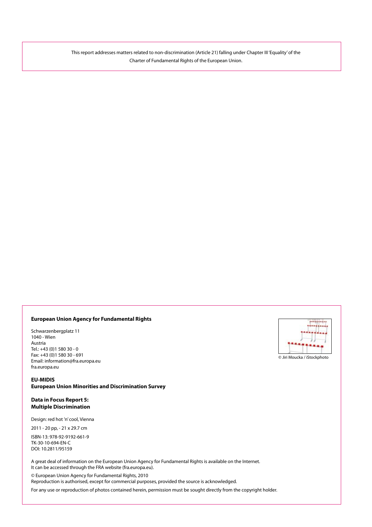This report addresses matters related to non-discrimination (Article 21) falling under Chapter III 'Equality'of the Charter of Fundamental Rights of the European Union.

# **European Union Agency for Fundamental Rights**

Schwarzenbergplatz 11 1040 - Wien Austria Tel.: +43 (0)1 580 30 - 0 Fax: +43 (0)1 580 30 - 691 Email: information@fra.europa.eu fra.europa.eu

# **EU-MIDIS European Union Minorities and Discrimination Survey**

# **Data in Focus Report 5: Multiple Discrimination**

Design: red hot 'n' cool, Vienna

2011 - 20 pp, - 21 x 29.7 cm

ISBN-13: 978-92-9192-661-9 TK-30-10-694-EN-C DOI: 10.2811/95159

A great deal of information on the European Union Agency for Fundamental Rights is available on the Internet. It can be accessed through the FRA website (fra.europa.eu).

© European Union Agency for Fundamental Rights, 2010

Reproduction is authorised, except for commercial purposes, provided the source is acknowledged.

For any use or reproduction of photos contained herein, permission must be sought directly from the copyright holder.



#### © Jiri Moucka / iStockphoto